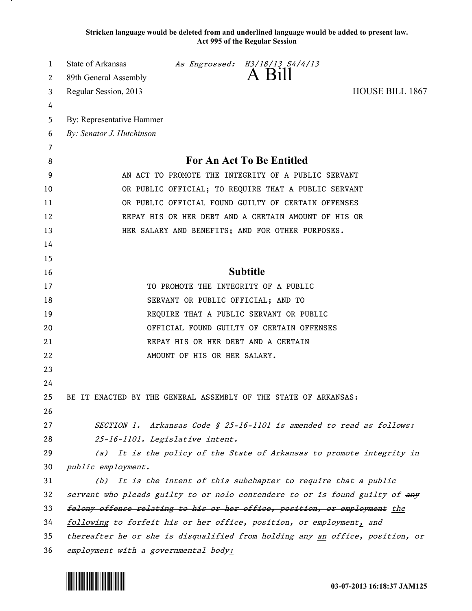**Stricken language would be deleted from and underlined language would be added to present law. Act 995 of the Regular Session**

| 1      | State of Arkansas                                                         |                                      | As Engrossed: H3/18/13 S4/4/13<br>A Bill                         |                                                                               |
|--------|---------------------------------------------------------------------------|--------------------------------------|------------------------------------------------------------------|-------------------------------------------------------------------------------|
| 2      | 89th General Assembly                                                     |                                      |                                                                  |                                                                               |
| 3      | Regular Session, 2013                                                     |                                      |                                                                  | HOUSE BILL 1867                                                               |
| 4<br>5 | By: Representative Hammer                                                 |                                      |                                                                  |                                                                               |
| 6      | By: Senator J. Hutchinson                                                 |                                      |                                                                  |                                                                               |
| 7      |                                                                           |                                      |                                                                  |                                                                               |
| 8      |                                                                           |                                      | For An Act To Be Entitled                                        |                                                                               |
| 9      | AN ACT TO PROMOTE THE INTEGRITY OF A PUBLIC SERVANT                       |                                      |                                                                  |                                                                               |
| 10     | OR PUBLIC OFFICIAL; TO REQUIRE THAT A PUBLIC SERVANT                      |                                      |                                                                  |                                                                               |
| 11     |                                                                           |                                      | OR PUBLIC OFFICIAL FOUND GUILTY OF CERTAIN OFFENSES              |                                                                               |
| 12     |                                                                           |                                      | REPAY HIS OR HER DEBT AND A CERTAIN AMOUNT OF HIS OR             |                                                                               |
| 13     |                                                                           |                                      | HER SALARY AND BENEFITS; AND FOR OTHER PURPOSES.                 |                                                                               |
| 14     |                                                                           |                                      |                                                                  |                                                                               |
| 15     |                                                                           |                                      |                                                                  |                                                                               |
| 16     |                                                                           |                                      | <b>Subtitle</b>                                                  |                                                                               |
| 17     |                                                                           | TO PROMOTE THE INTEGRITY OF A PUBLIC |                                                                  |                                                                               |
| 18     |                                                                           | SERVANT OR PUBLIC OFFICIAL; AND TO   |                                                                  |                                                                               |
| 19     |                                                                           |                                      | REQUIRE THAT A PUBLIC SERVANT OR PUBLIC                          |                                                                               |
| 20     |                                                                           |                                      | OFFICIAL FOUND GUILTY OF CERTAIN OFFENSES                        |                                                                               |
| 21     |                                                                           | REPAY HIS OR HER DEBT AND A CERTAIN  |                                                                  |                                                                               |
| 22     |                                                                           | AMOUNT OF HIS OR HER SALARY.         |                                                                  |                                                                               |
| 23     |                                                                           |                                      |                                                                  |                                                                               |
| 24     |                                                                           |                                      |                                                                  |                                                                               |
| 25     | BE IT ENACTED BY THE GENERAL ASSEMBLY OF THE STATE OF ARKANSAS:           |                                      |                                                                  |                                                                               |
| 26     |                                                                           |                                      |                                                                  |                                                                               |
| 27     |                                                                           |                                      |                                                                  | SECTION 1. Arkansas Code § 25-16-1101 is amended to read as follows:          |
| 28     |                                                                           | 25-16-1101. Legislative intent.      |                                                                  |                                                                               |
| 29     |                                                                           |                                      |                                                                  | (a) It is the policy of the State of Arkansas to promote integrity in         |
| 30     | public employment.                                                        |                                      |                                                                  |                                                                               |
| 31     |                                                                           |                                      | (b) It is the intent of this subchapter to require that a public |                                                                               |
| 32     |                                                                           |                                      |                                                                  | servant who pleads guilty to or nolo contendere to or is found guilty of any  |
| 33     | felony offense relating to his or her office, position, or employment the |                                      |                                                                  |                                                                               |
| 34     | following to forfeit his or her office, position, or employment, and      |                                      |                                                                  |                                                                               |
| 35     |                                                                           |                                      |                                                                  | thereafter he or she is disqualified from holding any an office, position, or |
| 36     | employment with a governmental body:                                      |                                      |                                                                  |                                                                               |

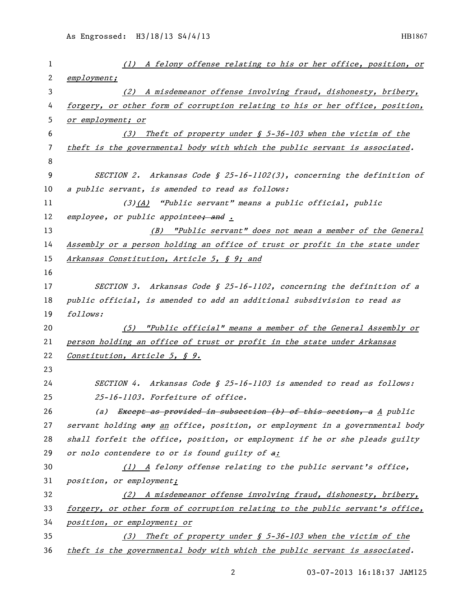| 1              | (1) A felony offense relating to his or her office, position, or              |
|----------------|-------------------------------------------------------------------------------|
| 2              | employment;                                                                   |
| 3              | (2) A misdemeanor offense involving fraud, dishonesty, bribery,               |
| 4              | forgery, or other form of corruption relating to his or her office, position, |
| 5              | or employment; or                                                             |
| 6              | (3) Theft of property under $\oint$ 5-36-103 when the victim of the           |
| $\overline{7}$ | theft is the governmental body with which the public servant is associated.   |
| 8              |                                                                               |
| 9              | SECTION 2. Arkansas Code § 25-16-1102(3), concerning the definition of        |
| 10             | a public servant, is amended to read as follows:                              |
| 11             | $(3)$ $(A)$ "Public servant" means a public official, public                  |
| 12             | employee, or public appointee <del>; and</del> .                              |
| 13             | (B) "Public servant" does not mean a member of the General                    |
| 14             | Assembly or a person holding an office of trust or profit in the state under  |
| 15             | Arkansas Constitution, Article 5, § 9; and                                    |
| 16             |                                                                               |
| 17             | SECTION 3. Arkansas Code § 25-16-1102, concerning the definition of a         |
| 18             | public official, is amended to add an additional subsdivision to read as      |
| 19             | follows:                                                                      |
| 20             | (5) "Public official" means a member of the General Assembly or               |
| 21             | person holding an office of trust or profit in the state under Arkansas       |
| 22             | Constitution, Article 5, § 9.                                                 |
| 23             |                                                                               |
| 24             | SECTION 4. Arkansas Code § 25-16-1103 is amended to read as follows:          |
| 25             | 25-16-1103. Forfeiture of office.                                             |
| 26             | (a) Except as provided in subsection (b) of this section, a A public          |
| 27             | servant holding any an office, position, or employment in a governmental body |
| 28             | shall forfeit the office, position, or employment if he or she pleads guilty  |
| 29             | or nolo contendere to or is found guilty of a:                                |
| 30             | (1) A felony offense relating to the public servant's office,                 |
| 31             | position, or employment;                                                      |
| 32             | (2) A misdemeanor offense involving fraud, dishonesty, bribery,               |
| 33             | forgery, or other form of corruption relating to the public servant's office, |
| 34             | position, or employment; or                                                   |
| 35             | Theft of property under § 5-36-103 when the victim of the<br>(3)              |
| 36             | theft is the governmental body with which the public servant is associated.   |

03-07-2013 16:18:37 JAM125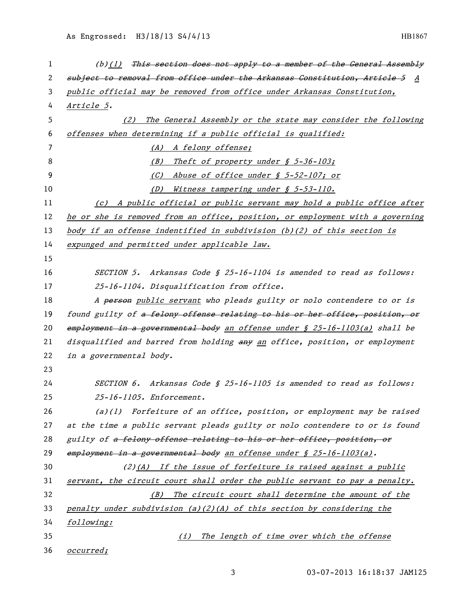| 1  | (b)(1) This section does not apply to a member of the General Assembly        |
|----|-------------------------------------------------------------------------------|
| 2  | subject to removal from office under the Arkansas Constitution, Article 5 A   |
| 3  | public official may be removed from office under Arkansas Constitution,       |
| 4  | <u>Article 5</u> .                                                            |
| 5  | (2) The General Assembly or the state may consider the following              |
| 6  | offenses when determining if a public official is qualified:                  |
| 7  | (A) A felony offense;                                                         |
| 8  | Theft of property under $$ 5-36-103;$<br>(B)                                  |
| 9  | (C)<br>Abuse of office under § 5-52-107; or                                   |
| 10 | Witness tampering under § 5-53-110.<br>(D)                                    |
| 11 | (c) A public official or public servant may hold a public office after        |
| 12 | he or she is removed from an office, position, or employment with a governing |
| 13 | body if an offense indentified in subdivision (b)(2) of this section is       |
| 14 | expunged and permitted under applicable law.                                  |
| 15 |                                                                               |
| 16 | SECTION 5. Arkansas Code § 25-16-1104 is amended to read as follows:          |
| 17 | 25-16-1104. Disqualification from office.                                     |
| 18 | A person public servant who pleads guilty or nolo contendere to or is         |
| 19 | found guilty of a felony offense relating to his or her office, position, or  |
| 20 | employment in a governmental body an offense under § 25-16-1103(a) shall be   |
| 21 | disqualified and barred from holding any an office, position, or employment   |
| 22 | in a governmental body.                                                       |
| 23 |                                                                               |
| 24 | SECTION 6. Arkansas Code § 25-16-1105 is amended to read as follows:          |
| 25 | 25-16-1105. Enforcement.                                                      |
| 26 | $(a)(1)$ Forfeiture of an office, position, or employment may be raised       |
| 27 | at the time a public servant pleads guilty or nolo contendere to or is found  |
| 28 | guilty of a felony offense relating to his or her office, position, or        |
| 29 | employment in a governmental body an offense under § 25-16-1103(a).           |
| 30 | (2)(A) If the issue of forfeiture is raised against a public                  |
| 31 | servant, the circuit court shall order the public servant to pay a penalty.   |
| 32 | The circuit court shall determine the amount of the<br>(B)                    |
| 33 | penalty under subdivision (a)(2)(A) of this section by considering the        |
| 34 | following:                                                                    |
| 35 | The length of time over which the offense<br>(i)                              |
| 36 | occurred;                                                                     |

03-07-2013 16:18:37 JAM125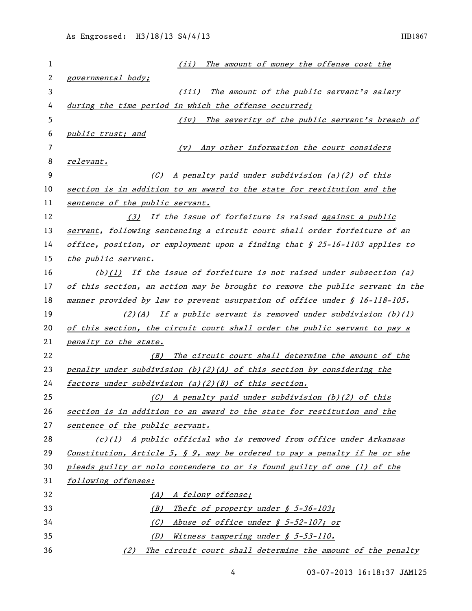| 1  | The amount of money the offense cost the<br>(ii)                                  |
|----|-----------------------------------------------------------------------------------|
| 2  | governmental body;                                                                |
| 3  | The amount of the public servant's salary<br>(iii)                                |
| 4  | during the time period in which the offense occurred;                             |
| 5  | The severity of the public servant's breach of<br>(iv)                            |
| 6  | public trust; and                                                                 |
| 7  | Any other information the court considers<br>(V)                                  |
| 8  | relevant.                                                                         |
| 9  | (C) A penalty paid under subdivision (a)(2) of this                               |
| 10 | section is in addition to an award to the state for restitution and the           |
| 11 | sentence of the public servant.                                                   |
| 12 | (3) If the issue of forfeiture is raised against a public                         |
| 13 | servant, following sentencing a circuit court shall order forfeiture of an        |
| 14 | office, position, or employment upon a finding that $\oint 25-l6-l103$ applies to |
| 15 | the public servant.                                                               |
| 16 | $(b)(1)$ If the issue of forfeiture is not raised under subsection (a)            |
| 17 | of this section, an action may be brought to remove the public servant in the     |
| 18 | manner provided by law to prevent usurpation of office under § 16-118-105.        |
| 19 | $(2)(A)$ If a public servant is removed under subdivision $(b)(1)$                |
| 20 | of this section, the circuit court shall order the public servant to pay a        |
| 21 | penalty to the state.                                                             |
| 22 | The circuit court shall determine the amount of the<br>(B)                        |
| 23 | penalty under subdivision $(b)(2)(A)$ of this section by considering the          |
| 24 | factors under subdivision $(a)(2)(B)$ of this section.                            |
| 25 | $(C)$ A penalty paid under subdivision (b)(2) of this                             |
| 26 | section is in addition to an award to the state for restitution and the           |
| 27 | sentence of the public servant.                                                   |
| 28 | $(c)(1)$ A public official who is removed from office under Arkansas              |
| 29 | Constitution, Article 5, $\oint$ 9, may be ordered to pay a penalty if he or she  |
| 30 | pleads guilty or nolo contendere to or is found guilty of one (1) of the          |
| 31 | following offenses:                                                               |
| 32 | (A) A felony offense;                                                             |
| 33 | Theft of property under § 5-36-103;<br>(B)                                        |
| 34 | Abuse of office under § 5-52-107; or<br>(C)                                       |
| 35 | Witness tampering under § 5-53-110.<br>(D)                                        |
| 36 | The circuit court shall determine the amount of the penalty<br>(2)                |

03-07-2013 16:18:37 JAM125